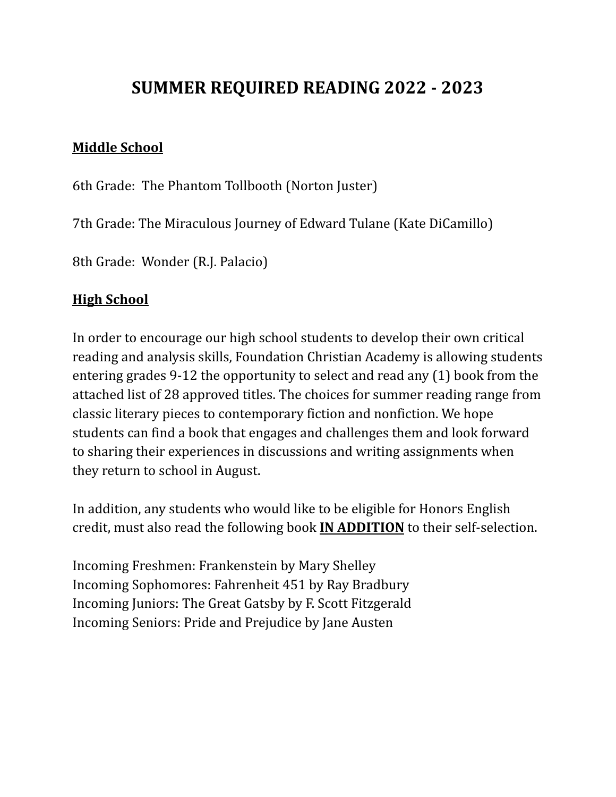## **SUMMER REQUIRED READING 2022 - 2023**

## **Middle School**

6th Grade: The Phantom Tollbooth (Norton Juster)

7th Grade: The Miraculous Journey of Edward Tulane (Kate DiCamillo)

8th Grade: Wonder (R.J. Palacio)

## **High School**

In order to encourage our high school students to develop their own critical reading and analysis skills, Foundation Christian Academy is allowing students entering grades 9-12 the opportunity to select and read any (1) book from the attached list of 28 approved titles. The choices for summer reading range from classic literary pieces to contemporary fiction and nonfiction. We hope students can find a book that engages and challenges them and look forward to sharing their experiences in discussions and writing assignments when they return to school in August.

In addition, any students who would like to be eligible for Honors English credit, must also read the following book **IN ADDITION** to their self-selection.

Incoming Freshmen: Frankenstein by Mary Shelley Incoming Sophomores: Fahrenheit 451 by Ray Bradbury Incoming Juniors: The Great Gatsby by F. Scott Fitzgerald Incoming Seniors: Pride and Prejudice by Jane Austen